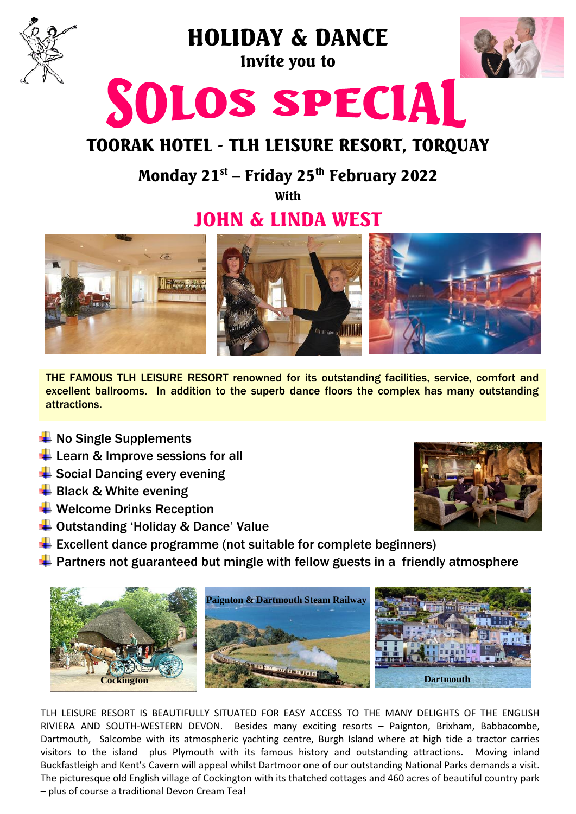

## HOLIDAY & DANCE Invite you to



# SOLOS SPECIAL

## TOORAK HOTEL - TLH LEISURE RESORT, TORQUAY

### Monday 21<sup>st</sup> – Friday 25<sup>th</sup> February 2022

With

## JOHN & LINDA WEST



THE FAMOUS TLH LEISURE RESORT renowned for its outstanding facilities, service, comfort and excellent ballrooms. In addition to the superb dance floors the complex has many outstanding attractions.

- $\bigstar$  No Single Supplements
- $\leftarrow$  Learn & Improve sessions for all
- **E** Social Dancing every evening
- $\bigstar$  Black & White evening
- $\bigstar$  Welcome Drinks Reception
- ↓ Outstanding 'Holiday & Dance' Value
- $\div$  Excellent dance programme (not suitable for complete beginners)
- $\div$  Partners not guaranteed but mingle with fellow guests in a friendly atmosphere



TLH LEISURE RESORT IS BEAUTIFULLY SITUATED FOR EASY ACCESS TO THE MANY DELIGHTS OF THE ENGLISH RIVIERA AND SOUTH-WESTERN DEVON. Besides many exciting resorts – Paignton, Brixham, Babbacombe, Dartmouth, Salcombe with its atmospheric yachting centre, Burgh Island where at high tide a tractor carries visitors to the island plus Plymouth with its famous history and outstanding attractions. Moving inland Buckfastleigh and Kent's Cavern will appeal whilst Dartmoor one of our outstanding National Parks demands a visit. The picturesque old English village of Cockington with its thatched cottages and 460 acres of beautiful country park – plus of course a traditional Devon Cream Tea!